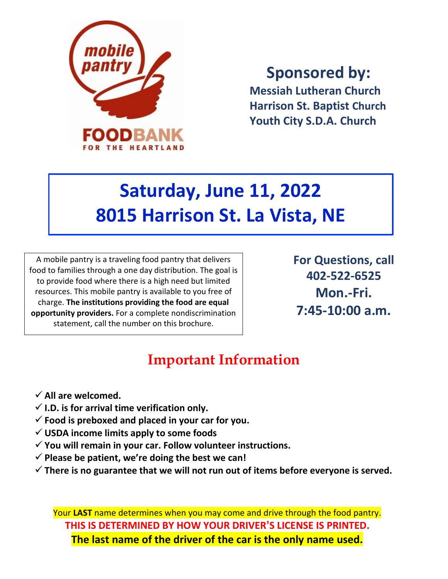

**Sponsored by:**

**Messiah Lutheran Church Harrison St. Baptist Church Youth City S.D.A. Church**

## **Saturday, June 11, 2022 8015 Harrison St. La Vista, NE**

A mobile pantry is a traveling food pantry that delivers food to families through a one day distribution. The goal is to provide food where there is a high need but limited resources. This mobile pantry is available to you free of charge. **The institutions providing the food are equal opportunity providers.** For a complete nondiscrimination statement, call the number on this brochure.

**For Questions, call 402-522-6525 Mon.-Fri. 7:45-10:00 a.m.**

## **Important Information**

- **All are welcomed.**
- $\checkmark$  I.D. is for arrival time verification only.
- **Food is preboxed and placed in your car for you.**
- **USDA income limits apply to some foods**
- **You will remain in your car. Follow volunteer instructions.**
- $\checkmark$  Please be patient, we're doing the best we can!
- **There is no guarantee that we will not run out of items before everyone is served.**

Your **LAST** name determines when you may come and drive through the food pantry. **THIS IS DETERMINED BY HOW YOUR DRIVER'S LICENSE IS PRINTED. The last name of the driver of the car is the only name used.**